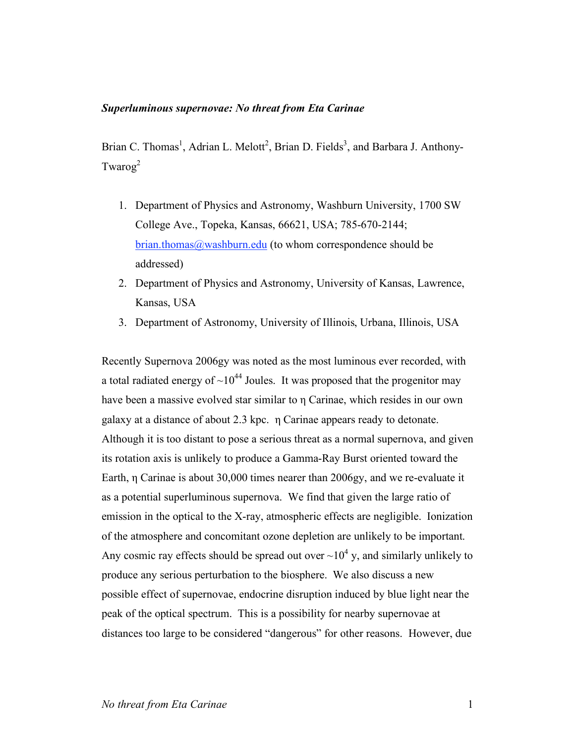#### *Superluminous supernovae: No threat from Eta Carinae*

Brian C. Thomas<sup>1</sup>, Adrian L. Melott<sup>2</sup>, Brian D. Fields<sup>3</sup>, and Barbara J. Anthony-Twarog $^2$ 

- 1. Department of Physics and Astronomy, Washburn University, 1700 SW College Ave., Topeka, Kansas, 66621, USA; 785-670-2144; brian.thomas@washburn.edu (to whom correspondence should be addressed)
- 2. Department of Physics and Astronomy, University of Kansas, Lawrence, Kansas, USA
- 3. Department of Astronomy, University of Illinois, Urbana, Illinois, USA

Recently Supernova 2006gy was noted as the most luminous ever recorded, with a total radiated energy of  $\sim 10^{44}$  Joules. It was proposed that the progenitor may have been a massive evolved star similar to η Carinae, which resides in our own galaxy at a distance of about 2.3 kpc. η Carinae appears ready to detonate. Although it is too distant to pose a serious threat as a normal supernova, and given its rotation axis is unlikely to produce a Gamma-Ray Burst oriented toward the Earth, η Carinae is about 30,000 times nearer than 2006gy, and we re-evaluate it as a potential superluminous supernova. We find that given the large ratio of emission in the optical to the X-ray, atmospheric effects are negligible. Ionization of the atmosphere and concomitant ozone depletion are unlikely to be important. Any cosmic ray effects should be spread out over  $\sim 10^4$  y, and similarly unlikely to produce any serious perturbation to the biosphere. We also discuss a new possible effect of supernovae, endocrine disruption induced by blue light near the peak of the optical spectrum. This is a possibility for nearby supernovae at distances too large to be considered "dangerous" for other reasons. However, due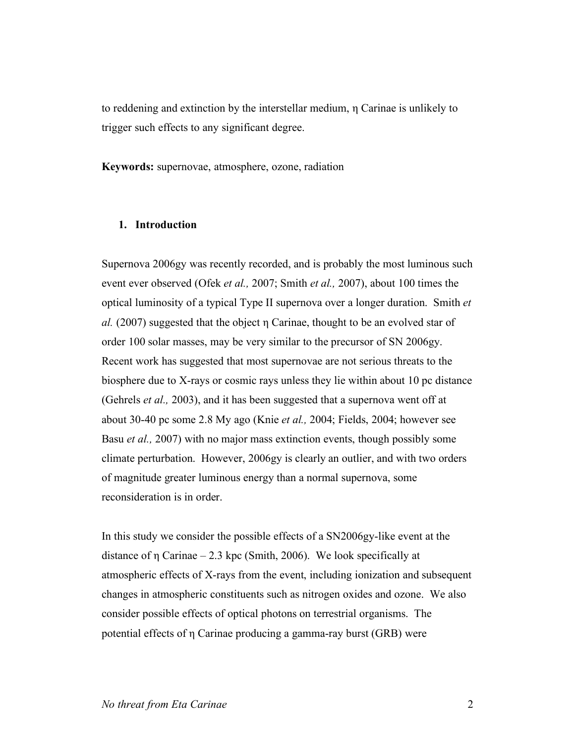to reddening and extinction by the interstellar medium, η Carinae is unlikely to trigger such effects to any significant degree.

**Keywords:** supernovae, atmosphere, ozone, radiation

#### **1. Introduction**

Supernova 2006gy was recently recorded, and is probably the most luminous such event ever observed (Ofek *et al.,* 2007; Smith *et al.,* 2007), about 100 times the optical luminosity of a typical Type II supernova over a longer duration. Smith *et al.* (2007) suggested that the object η Carinae, thought to be an evolved star of order 100 solar masses, may be very similar to the precursor of SN 2006gy. Recent work has suggested that most supernovae are not serious threats to the biosphere due to X-rays or cosmic rays unless they lie within about 10 pc distance (Gehrels *et al.,* 2003), and it has been suggested that a supernova went off at about 30-40 pc some 2.8 My ago (Knie *et al.,* 2004; Fields, 2004; however see Basu *et al.,* 2007) with no major mass extinction events, though possibly some climate perturbation. However, 2006gy is clearly an outlier, and with two orders of magnitude greater luminous energy than a normal supernova, some reconsideration is in order.

In this study we consider the possible effects of a SN2006gy-like event at the distance of  $\eta$  Carinae – 2.3 kpc (Smith, 2006). We look specifically at atmospheric effects of X-rays from the event, including ionization and subsequent changes in atmospheric constituents such as nitrogen oxides and ozone. We also consider possible effects of optical photons on terrestrial organisms. The potential effects of η Carinae producing a gamma-ray burst (GRB) were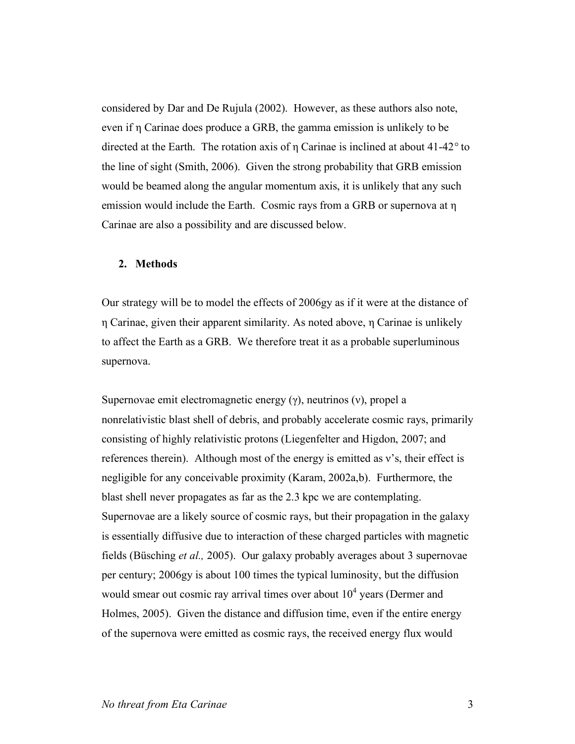considered by Dar and De Rujula (2002). However, as these authors also note, even if η Carinae does produce a GRB, the gamma emission is unlikely to be directed at the Earth. The rotation axis of η Carinae is inclined at about 41-42*°* to the line of sight (Smith, 2006). Given the strong probability that GRB emission would be beamed along the angular momentum axis, it is unlikely that any such emission would include the Earth. Cosmic rays from a GRB or supernova at η Carinae are also a possibility and are discussed below.

## **2. Methods**

Our strategy will be to model the effects of 2006gy as if it were at the distance of η Carinae, given their apparent similarity. As noted above, η Carinae is unlikely to affect the Earth as a GRB. We therefore treat it as a probable superluminous supernova.

Supernovae emit electromagnetic energy (γ), neutrinos (ν), propel a nonrelativistic blast shell of debris, and probably accelerate cosmic rays, primarily consisting of highly relativistic protons (Liegenfelter and Higdon, 2007; and references therein). Although most of the energy is emitted as ν's, their effect is negligible for any conceivable proximity (Karam, 2002a,b). Furthermore, the blast shell never propagates as far as the 2.3 kpc we are contemplating. Supernovae are a likely source of cosmic rays, but their propagation in the galaxy is essentially diffusive due to interaction of these charged particles with magnetic fields (Büsching *et al.,* 2005). Our galaxy probably averages about 3 supernovae per century; 2006gy is about 100 times the typical luminosity, but the diffusion would smear out cosmic ray arrival times over about  $10<sup>4</sup>$  years (Dermer and Holmes, 2005). Given the distance and diffusion time, even if the entire energy of the supernova were emitted as cosmic rays, the received energy flux would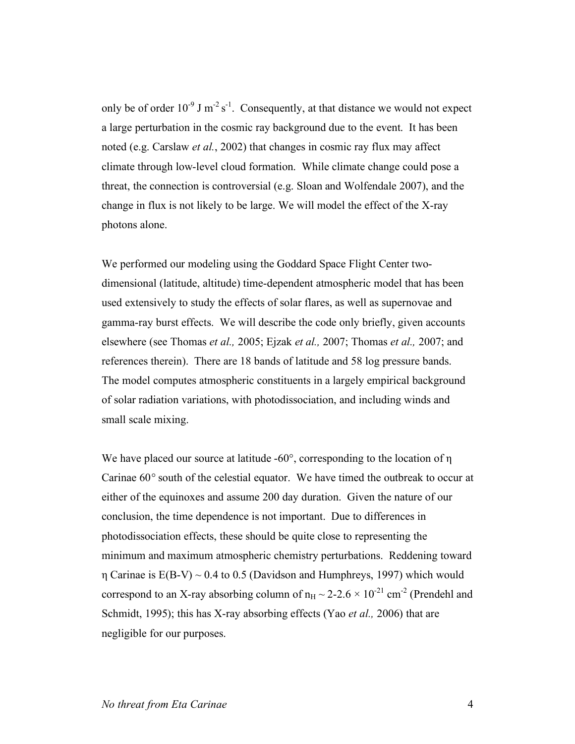only be of order  $10^{-9}$  J m<sup>-2</sup> s<sup>-1</sup>. Consequently, at that distance we would not expect a large perturbation in the cosmic ray background due to the event. It has been noted (e.g. Carslaw *et al.*, 2002) that changes in cosmic ray flux may affect climate through low-level cloud formation. While climate change could pose a threat, the connection is controversial (e.g. Sloan and Wolfendale 2007), and the change in flux is not likely to be large. We will model the effect of the X-ray photons alone.

We performed our modeling using the Goddard Space Flight Center twodimensional (latitude, altitude) time-dependent atmospheric model that has been used extensively to study the effects of solar flares, as well as supernovae and gamma-ray burst effects. We will describe the code only briefly, given accounts elsewhere (see Thomas *et al.,* 2005; Ejzak *et al.,* 2007; Thomas *et al.,* 2007; and references therein). There are 18 bands of latitude and 58 log pressure bands. The model computes atmospheric constituents in a largely empirical background of solar radiation variations, with photodissociation, and including winds and small scale mixing.

We have placed our source at latitude -60°, corresponding to the location of η Carinae 60*°* south of the celestial equator. We have timed the outbreak to occur at either of the equinoxes and assume 200 day duration. Given the nature of our conclusion, the time dependence is not important. Due to differences in photodissociation effects, these should be quite close to representing the minimum and maximum atmospheric chemistry perturbations. Reddening toward n Carinae is  $E(B-V) \sim 0.4$  to 0.5 (Davidson and Humphreys, 1997) which would correspond to an X-ray absorbing column of  $n_H \sim 2{\text -}2.6 \times 10^{-21}$  cm<sup>-2</sup> (Prendehl and Schmidt, 1995); this has X-ray absorbing effects (Yao *et al.,* 2006) that are negligible for our purposes.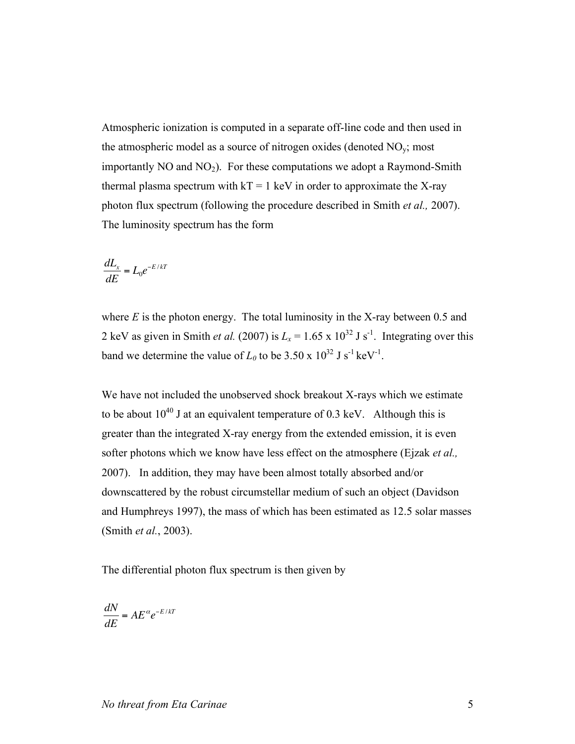Atmospheric ionization is computed in a separate off-line code and then used in the atmospheric model as a source of nitrogen oxides (denoted  $NO<sub>v</sub>$ ; most importantly  $NO$  and  $NO<sub>2</sub>$ ). For these computations we adopt a Raymond-Smith thermal plasma spectrum with  $kT = 1$  keV in order to approximate the X-ray photon flux spectrum (following the procedure described in Smith *et al.,* 2007). The luminosity spectrum has the form

$$
\frac{dL_x}{dE} = L_0 e^{-E/kT}
$$

where  $E$  is the photon energy. The total luminosity in the X-ray between 0.5 and 2 keV as given in Smith *et al.* (2007) is  $L_x = 1.65 \times 10^{32}$  J s<sup>-1</sup>. Integrating over this band we determine the value of  $L_0$  to be 3.50 x  $10^{32}$  J s<sup>-1</sup> keV<sup>-1</sup>.

We have not included the unobserved shock breakout X-rays which we estimate to be about  $10^{40}$  J at an equivalent temperature of 0.3 keV. Although this is greater than the integrated X-ray energy from the extended emission, it is even softer photons which we know have less effect on the atmosphere (Ejzak *et al.,* 2007). In addition, they may have been almost totally absorbed and/or downscattered by the robust circumstellar medium of such an object (Davidson and Humphreys 1997), the mass of which has been estimated as 12.5 solar masses (Smith *et al.*, 2003).

The differential photon flux spectrum is then given by

$$
\frac{dN}{dE} = AE^{\alpha}e^{-E/kT}
$$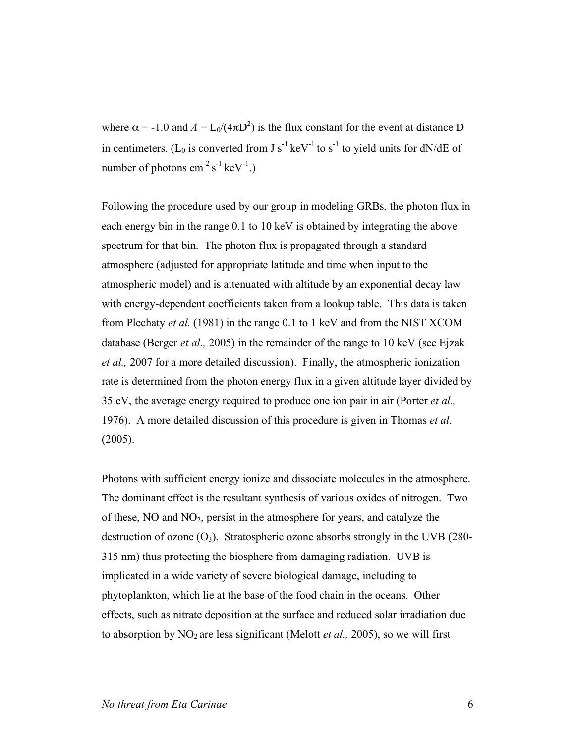where  $\alpha = -1.0$  and  $A = L_0/(4\pi D^2)$  is the flux constant for the event at distance D in centimeters. (L<sub>0</sub> is converted from J s<sup>-1</sup> keV<sup>-1</sup> to s<sup>-1</sup> to yield units for dN/dE of number of photons  $\text{cm}^{-2} \text{ s}^{-1} \text{ keV}^{-1}$ .)

Following the procedure used by our group in modeling GRBs, the photon flux in each energy bin in the range 0.1 to 10 keV is obtained by integrating the above spectrum for that bin. The photon flux is propagated through a standard atmosphere (adjusted for appropriate latitude and time when input to the atmospheric model) and is attenuated with altitude by an exponential decay law with energy-dependent coefficients taken from a lookup table. This data is taken from Plechaty *et al.* (1981) in the range 0.1 to 1 keV and from the NIST XCOM database (Berger *et al.,* 2005) in the remainder of the range to 10 keV (see Ejzak *et al.,* 2007 for a more detailed discussion). Finally, the atmospheric ionization rate is determined from the photon energy flux in a given altitude layer divided by 35 eV, the average energy required to produce one ion pair in air (Porter *et al.,* 1976). A more detailed discussion of this procedure is given in Thomas *et al.* (2005).

Photons with sufficient energy ionize and dissociate molecules in the atmosphere. The dominant effect is the resultant synthesis of various oxides of nitrogen. Two of these,  $NO$  and  $NO<sub>2</sub>$ , persist in the atmosphere for years, and catalyze the destruction of ozone  $(O_3)$ . Stratospheric ozone absorbs strongly in the UVB (280-315 nm) thus protecting the biosphere from damaging radiation. UVB is implicated in a wide variety of severe biological damage, including to phytoplankton, which lie at the base of the food chain in the oceans. Other effects, such as nitrate deposition at the surface and reduced solar irradiation due to absorption by NO<sub>2</sub> are less significant (Melott *et al.,* 2005), so we will first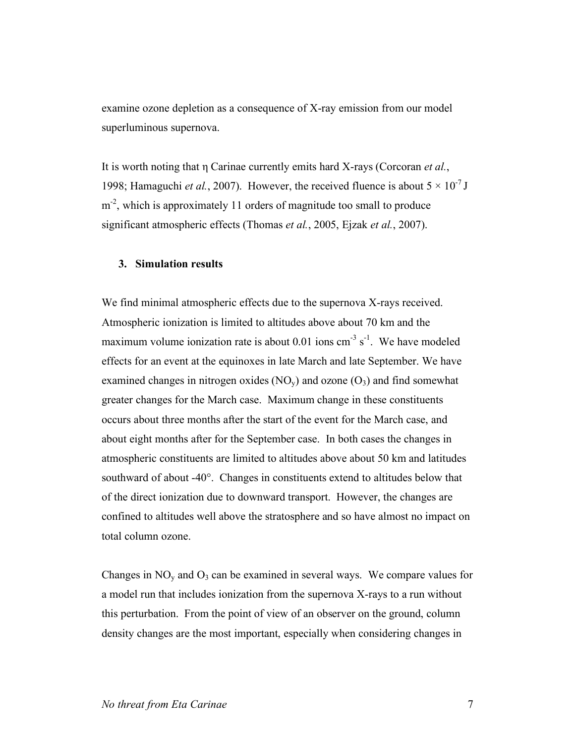examine ozone depletion as a consequence of X-ray emission from our model superluminous supernova.

It is worth noting that η Carinae currently emits hard X-rays (Corcoran *et al.*, 1998; Hamaguchi *et al.*, 2007). However, the received fluence is about  $5 \times 10^{-7}$  J m<sup>-2</sup>, which is approximately 11 orders of magnitude too small to produce significant atmospheric effects (Thomas *et al.*, 2005, Ejzak *et al.*, 2007).

## **3. Simulation results**

We find minimal atmospheric effects due to the supernova X-rays received. Atmospheric ionization is limited to altitudes above about 70 km and the maximum volume ionization rate is about 0.01 ions  $cm^{-3}$  s<sup>-1</sup>. We have modeled effects for an event at the equinoxes in late March and late September. We have examined changes in nitrogen oxides  $(NO<sub>v</sub>)$  and ozone  $(O<sub>3</sub>)$  and find somewhat greater changes for the March case. Maximum change in these constituents occurs about three months after the start of the event for the March case, and about eight months after for the September case. In both cases the changes in atmospheric constituents are limited to altitudes above about 50 km and latitudes southward of about -40°. Changes in constituents extend to altitudes below that of the direct ionization due to downward transport. However, the changes are confined to altitudes well above the stratosphere and so have almost no impact on total column ozone.

Changes in  $NO<sub>y</sub>$  and  $O<sub>3</sub>$  can be examined in several ways. We compare values for a model run that includes ionization from the supernova X-rays to a run without this perturbation. From the point of view of an observer on the ground, column density changes are the most important, especially when considering changes in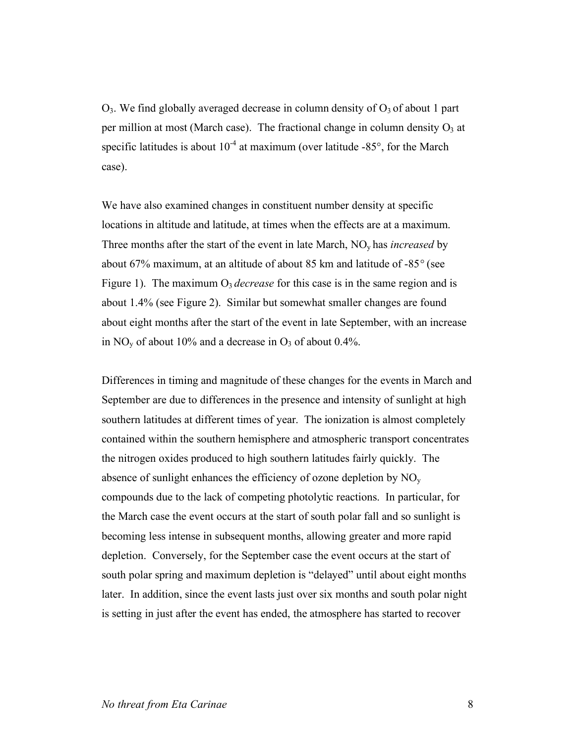$O_3$ . We find globally averaged decrease in column density of  $O_3$  of about 1 part per million at most (March case). The fractional change in column density  $O_3$  at specific latitudes is about  $10^{-4}$  at maximum (over latitude -85 $^{\circ}$ , for the March case).

We have also examined changes in constituent number density at specific locations in altitude and latitude, at times when the effects are at a maximum. Three months after the start of the event in late March, NOy has *increased* by about 67% maximum, at an altitude of about 85 km and latitude of -85*°* (see Figure 1). The maximum  $O_3$  *decrease* for this case is in the same region and is about 1.4% (see Figure 2). Similar but somewhat smaller changes are found about eight months after the start of the event in late September, with an increase in NO<sub>y</sub> of about 10% and a decrease in  $O_3$  of about 0.4%.

Differences in timing and magnitude of these changes for the events in March and September are due to differences in the presence and intensity of sunlight at high southern latitudes at different times of year. The ionization is almost completely contained within the southern hemisphere and atmospheric transport concentrates the nitrogen oxides produced to high southern latitudes fairly quickly. The absence of sunlight enhances the efficiency of ozone depletion by  $NO<sub>v</sub>$ compounds due to the lack of competing photolytic reactions. In particular, for the March case the event occurs at the start of south polar fall and so sunlight is becoming less intense in subsequent months, allowing greater and more rapid depletion. Conversely, for the September case the event occurs at the start of south polar spring and maximum depletion is "delayed" until about eight months later. In addition, since the event lasts just over six months and south polar night is setting in just after the event has ended, the atmosphere has started to recover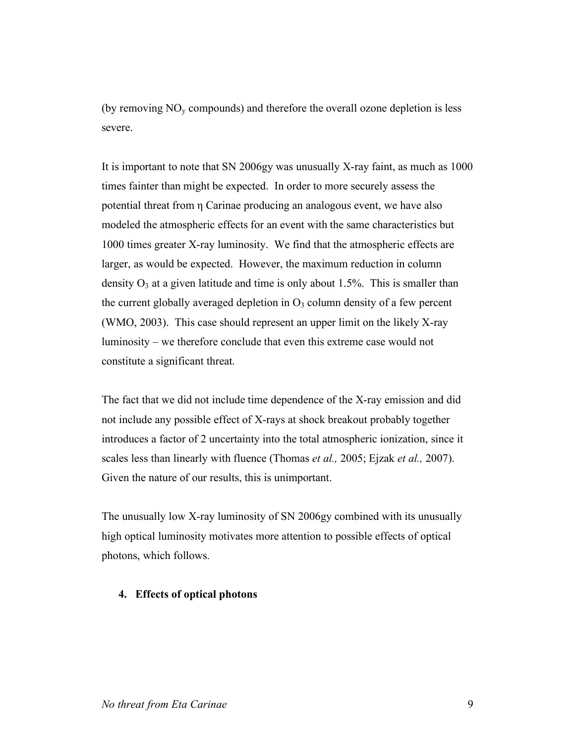(by removing  $NO<sub>v</sub>$  compounds) and therefore the overall ozone depletion is less severe.

It is important to note that SN 2006gy was unusually X-ray faint, as much as 1000 times fainter than might be expected. In order to more securely assess the potential threat from η Carinae producing an analogous event, we have also modeled the atmospheric effects for an event with the same characteristics but 1000 times greater X-ray luminosity. We find that the atmospheric effects are larger, as would be expected. However, the maximum reduction in column density  $O_3$  at a given latitude and time is only about 1.5%. This is smaller than the current globally averaged depletion in  $O<sub>3</sub>$  column density of a few percent (WMO, 2003). This case should represent an upper limit on the likely X-ray luminosity – we therefore conclude that even this extreme case would not constitute a significant threat.

The fact that we did not include time dependence of the X-ray emission and did not include any possible effect of X-rays at shock breakout probably together introduces a factor of 2 uncertainty into the total atmospheric ionization, since it scales less than linearly with fluence (Thomas *et al.,* 2005; Ejzak *et al.,* 2007). Given the nature of our results, this is unimportant.

The unusually low X-ray luminosity of SN 2006gy combined with its unusually high optical luminosity motivates more attention to possible effects of optical photons, which follows.

## **4. Effects of optical photons**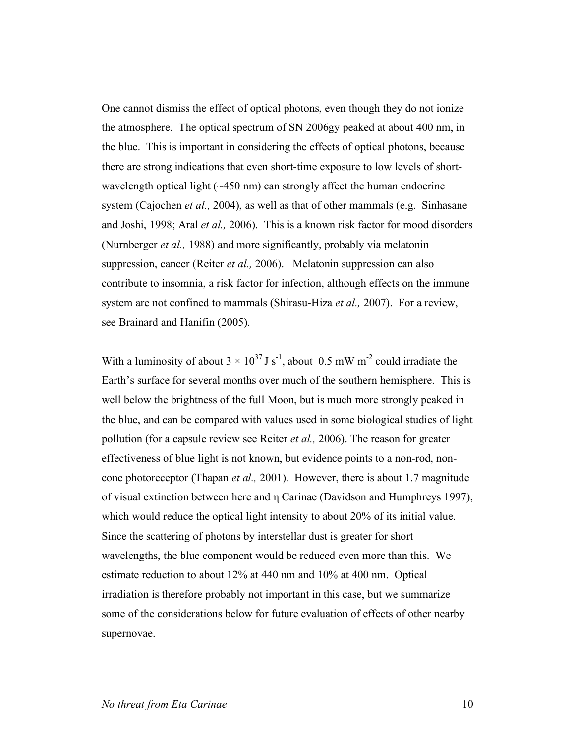One cannot dismiss the effect of optical photons, even though they do not ionize the atmosphere. The optical spectrum of SN 2006gy peaked at about 400 nm, in the blue. This is important in considering the effects of optical photons, because there are strong indications that even short-time exposure to low levels of shortwavelength optical light  $(\sim 450 \text{ nm})$  can strongly affect the human endocrine system (Cajochen *et al.,* 2004), as well as that of other mammals (e.g. Sinhasane and Joshi, 1998; Aral *et al.,* 2006). This is a known risk factor for mood disorders (Nurnberger *et al.,* 1988) and more significantly, probably via melatonin suppression, cancer (Reiter *et al.,* 2006). Melatonin suppression can also contribute to insomnia, a risk factor for infection, although effects on the immune system are not confined to mammals (Shirasu-Hiza *et al.,* 2007). For a review, see Brainard and Hanifin (2005).

With a luminosity of about  $3 \times 10^{37}$  J s<sup>-1</sup>, about 0.5 mW m<sup>-2</sup> could irradiate the Earth's surface for several months over much of the southern hemisphere. This is well below the brightness of the full Moon, but is much more strongly peaked in the blue, and can be compared with values used in some biological studies of light pollution (for a capsule review see Reiter *et al.,* 2006). The reason for greater effectiveness of blue light is not known, but evidence points to a non-rod, noncone photoreceptor (Thapan *et al.,* 2001). However, there is about 1.7 magnitude of visual extinction between here and η Carinae (Davidson and Humphreys 1997), which would reduce the optical light intensity to about 20% of its initial value. Since the scattering of photons by interstellar dust is greater for short wavelengths, the blue component would be reduced even more than this. We estimate reduction to about 12% at 440 nm and 10% at 400 nm. Optical irradiation is therefore probably not important in this case, but we summarize some of the considerations below for future evaluation of effects of other nearby supernovae.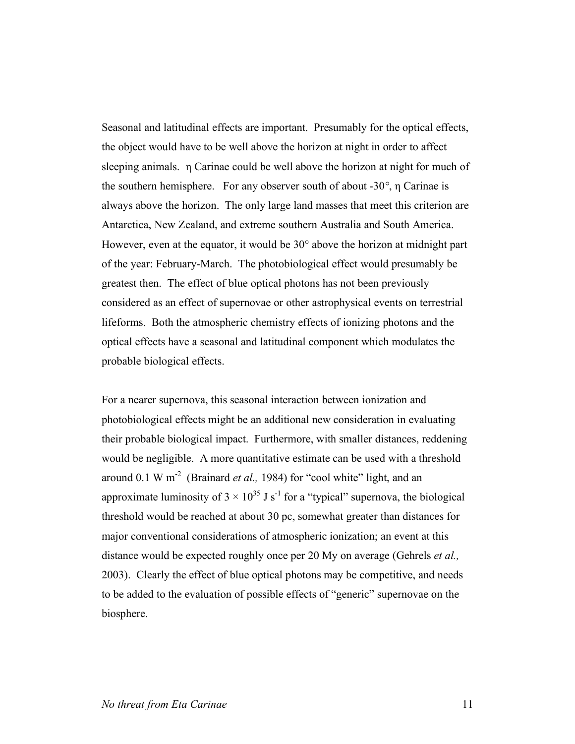Seasonal and latitudinal effects are important. Presumably for the optical effects, the object would have to be well above the horizon at night in order to affect sleeping animals. η Carinae could be well above the horizon at night for much of the southern hemisphere. For any observer south of about -30*°*, η Carinae is always above the horizon. The only large land masses that meet this criterion are Antarctica, New Zealand, and extreme southern Australia and South America. However, even at the equator, it would be 30° above the horizon at midnight part of the year: February-March. The photobiological effect would presumably be greatest then. The effect of blue optical photons has not been previously considered as an effect of supernovae or other astrophysical events on terrestrial lifeforms. Both the atmospheric chemistry effects of ionizing photons and the optical effects have a seasonal and latitudinal component which modulates the probable biological effects.

For a nearer supernova, this seasonal interaction between ionization and photobiological effects might be an additional new consideration in evaluating their probable biological impact. Furthermore, with smaller distances, reddening would be negligible. A more quantitative estimate can be used with a threshold around 0.1 W m<sup>-2</sup> (Brainard *et al.,* 1984) for "cool white" light, and an approximate luminosity of  $3 \times 10^{35}$  J s<sup>-1</sup> for a "typical" supernova, the biological threshold would be reached at about 30 pc, somewhat greater than distances for major conventional considerations of atmospheric ionization; an event at this distance would be expected roughly once per 20 My on average (Gehrels *et al.,* 2003). Clearly the effect of blue optical photons may be competitive, and needs to be added to the evaluation of possible effects of "generic" supernovae on the biosphere.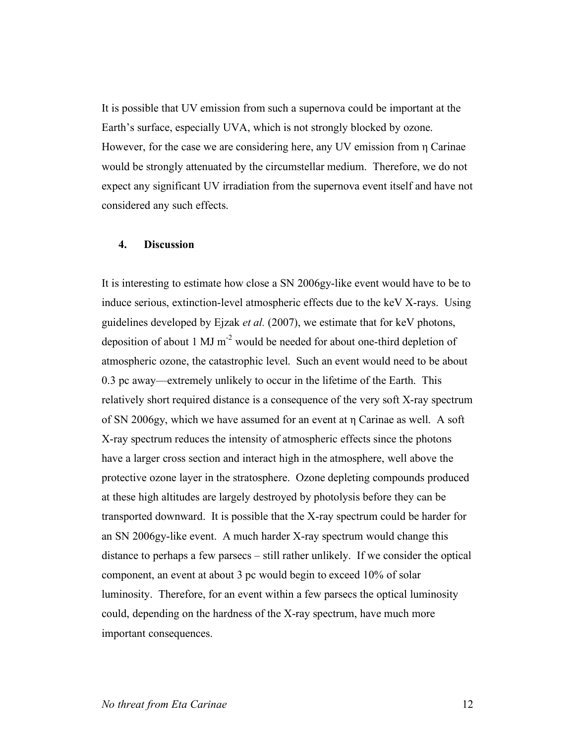It is possible that UV emission from such a supernova could be important at the Earth's surface, especially UVA, which is not strongly blocked by ozone. However, for the case we are considering here, any UV emission from η Carinae would be strongly attenuated by the circumstellar medium. Therefore, we do not expect any significant UV irradiation from the supernova event itself and have not considered any such effects.

## **4. Discussion**

It is interesting to estimate how close a SN 2006gy-like event would have to be to induce serious, extinction-level atmospheric effects due to the keV X-rays. Using guidelines developed by Ejzak *et al.* (2007), we estimate that for keV photons, deposition of about 1 MJ  $m^{-2}$  would be needed for about one-third depletion of atmospheric ozone, the catastrophic level. Such an event would need to be about 0.3 pc away—extremely unlikely to occur in the lifetime of the Earth. This relatively short required distance is a consequence of the very soft X-ray spectrum of SN 2006gy, which we have assumed for an event at η Carinae as well. A soft X-ray spectrum reduces the intensity of atmospheric effects since the photons have a larger cross section and interact high in the atmosphere, well above the protective ozone layer in the stratosphere. Ozone depleting compounds produced at these high altitudes are largely destroyed by photolysis before they can be transported downward. It is possible that the X-ray spectrum could be harder for an SN 2006gy-like event. A much harder X-ray spectrum would change this distance to perhaps a few parsecs – still rather unlikely. If we consider the optical component, an event at about 3 pc would begin to exceed 10% of solar luminosity. Therefore, for an event within a few parsecs the optical luminosity could, depending on the hardness of the X-ray spectrum, have much more important consequences.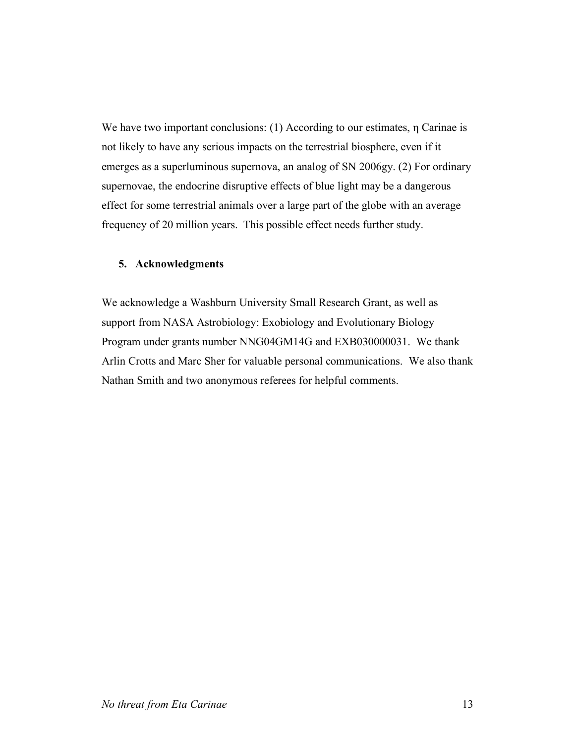We have two important conclusions: (1) According to our estimates, η Carinae is not likely to have any serious impacts on the terrestrial biosphere, even if it emerges as a superluminous supernova, an analog of SN 2006gy. (2) For ordinary supernovae, the endocrine disruptive effects of blue light may be a dangerous effect for some terrestrial animals over a large part of the globe with an average frequency of 20 million years. This possible effect needs further study.

## **5. Acknowledgments**

We acknowledge a Washburn University Small Research Grant, as well as support from NASA Astrobiology: Exobiology and Evolutionary Biology Program under grants number NNG04GM14G and EXB030000031. We thank Arlin Crotts and Marc Sher for valuable personal communications. We also thank Nathan Smith and two anonymous referees for helpful comments.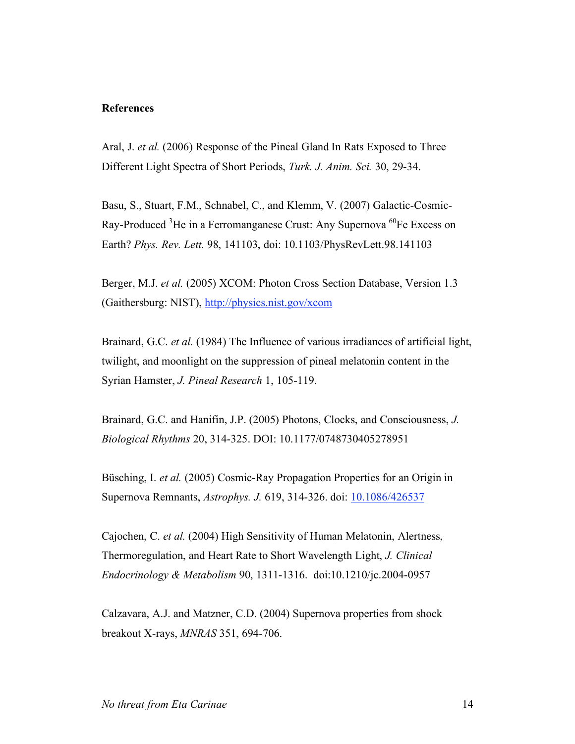#### **References**

Aral, J. *et al.* (2006) Response of the Pineal Gland In Rats Exposed to Three Different Light Spectra of Short Periods, *Turk. J. Anim. Sci.* 30, 29-34.

Basu, S., Stuart, F.M., Schnabel, C., and Klemm, V. (2007) Galactic-Cosmic-Ray-Produced <sup>3</sup>He in a Ferromanganese Crust: Any Supernova <sup>60</sup>Fe Excess on Earth? *Phys. Rev. Lett.* 98, 141103, doi: 10.1103/PhysRevLett.98.141103

Berger, M.J. *et al.* (2005) XCOM: Photon Cross Section Database, Version 1.3 (Gaithersburg: NIST), http://physics.nist.gov/xcom

Brainard, G.C. *et al.* (1984) The Influence of various irradiances of artificial light, twilight, and moonlight on the suppression of pineal melatonin content in the Syrian Hamster, *J. Pineal Research* 1, 105-119.

Brainard, G.C. and Hanifin, J.P. (2005) Photons, Clocks, and Consciousness, *J. Biological Rhythms* 20, 314-325. DOI: 10.1177/0748730405278951

Büsching, I. *et al.* (2005) Cosmic-Ray Propagation Properties for an Origin in Supernova Remnants, *Astrophys. J.* 619, 314-326. doi: 10.1086/426537

Cajochen, C. *et al.* (2004) High Sensitivity of Human Melatonin, Alertness, Thermoregulation, and Heart Rate to Short Wavelength Light, *J. Clinical Endocrinology & Metabolism* 90, 1311-1316. doi:10.1210/jc.2004-0957

Calzavara, A.J. and Matzner, C.D. (2004) Supernova properties from shock breakout X-rays, *MNRAS* 351, 694-706.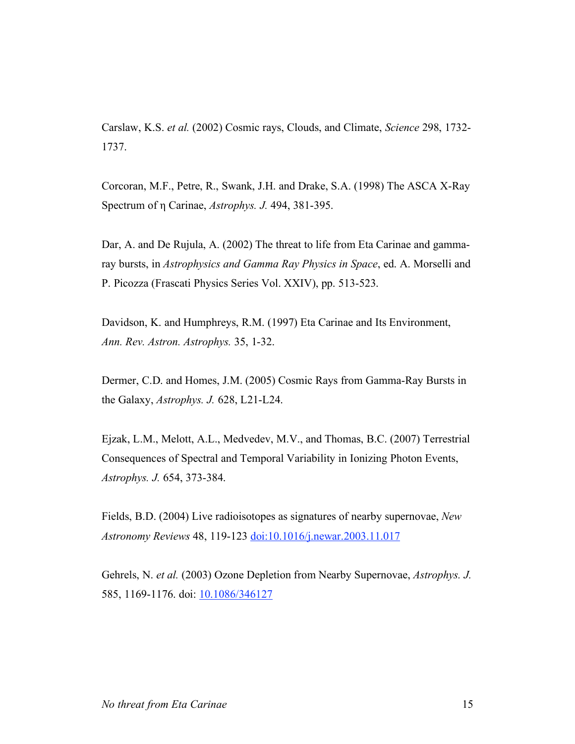Carslaw, K.S. *et al.* (2002) Cosmic rays, Clouds, and Climate, *Science* 298, 1732- 1737.

Corcoran, M.F., Petre, R., Swank, J.H. and Drake, S.A. (1998) The ASCA X-Ray Spectrum of η Carinae, *Astrophys. J.* 494, 381-395.

Dar, A. and De Rujula, A. (2002) The threat to life from Eta Carinae and gammaray bursts, in *Astrophysics and Gamma Ray Physics in Space*, ed. A. Morselli and P. Picozza (Frascati Physics Series Vol. XXIV), pp. 513-523.

Davidson, K. and Humphreys, R.M. (1997) Eta Carinae and Its Environment, *Ann. Rev. Astron. Astrophys.* 35, 1-32.

Dermer, C.D. and Homes, J.M. (2005) Cosmic Rays from Gamma-Ray Bursts in the Galaxy, *Astrophys. J.* 628, L21-L24.

Ejzak, L.M., Melott, A.L., Medvedev, M.V., and Thomas, B.C. (2007) Terrestrial Consequences of Spectral and Temporal Variability in Ionizing Photon Events, *Astrophys. J.* 654, 373-384.

Fields, B.D. (2004) Live radioisotopes as signatures of nearby supernovae, *New Astronomy Reviews* 48, 119-123 doi:10.1016/j.newar.2003.11.017

Gehrels, N. *et al.* (2003) Ozone Depletion from Nearby Supernovae, *Astrophys. J.* 585, 1169-1176. doi: 10.1086/346127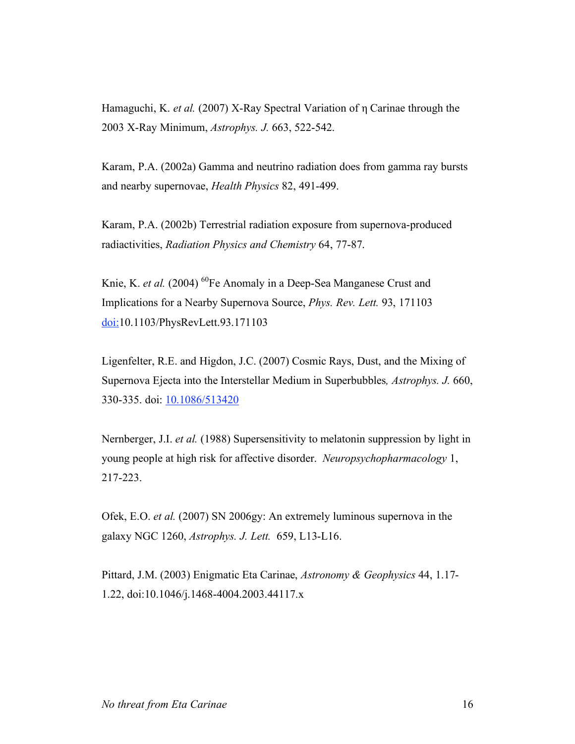Hamaguchi, K. *et al.* (2007) X-Ray Spectral Variation of η Carinae through the 2003 X-Ray Minimum, *Astrophys. J.* 663, 522-542.

Karam, P.A. (2002a) Gamma and neutrino radiation does from gamma ray bursts and nearby supernovae, *Health Physics* 82, 491-499.

Karam, P.A. (2002b) Terrestrial radiation exposure from supernova-produced radiactivities, *Radiation Physics and Chemistry* 64, 77-87.

Knie, K. *et al.* (2004) <sup>60</sup>Fe Anomaly in a Deep-Sea Manganese Crust and Implications for a Nearby Supernova Source, *Phys. Rev. Lett.* 93, 171103 doi:10.1103/PhysRevLett.93.171103

Ligenfelter, R.E. and Higdon, J.C. (2007) Cosmic Rays, Dust, and the Mixing of Supernova Ejecta into the Interstellar Medium in Superbubbles*, Astrophys. J.* 660, 330-335. doi: 10.1086/513420

Nernberger, J.I. *et al.* (1988) Supersensitivity to melatonin suppression by light in young people at high risk for affective disorder. *Neuropsychopharmacology* 1, 217-223.

Ofek, E.O. *et al.* (2007) SN 2006gy: An extremely luminous supernova in the galaxy NGC 1260, *Astrophys. J. Lett.* 659, L13-L16.

Pittard, J.M. (2003) Enigmatic Eta Carinae, *Astronomy & Geophysics* 44, 1.17- 1.22, doi:10.1046/j.1468-4004.2003.44117.x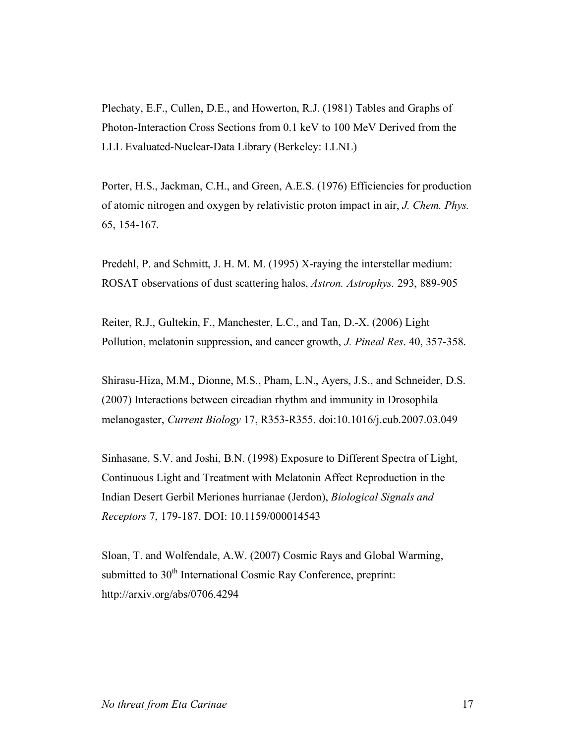Plechaty, E.F., Cullen, D.E., and Howerton, R.J. (1981) Tables and Graphs of Photon-Interaction Cross Sections from 0.1 keV to 100 MeV Derived from the LLL Evaluated-Nuclear-Data Library (Berkeley: LLNL)

Porter, H.S., Jackman, C.H., and Green, A.E.S. (1976) Efficiencies for production of atomic nitrogen and oxygen by relativistic proton impact in air, *J. Chem. Phys.* 65, 154-167.

Predehl, P. and Schmitt, J. H. M. M. (1995) X-raying the interstellar medium: ROSAT observations of dust scattering halos, *Astron. Astrophys.* 293, 889-905

Reiter, R.J., Gultekin, F., Manchester, L.C., and Tan, D.-X. (2006) Light Pollution, melatonin suppression, and cancer growth, *J. Pineal Res*. 40, 357-358.

Shirasu-Hiza, M.M., Dionne, M.S., Pham, L.N., Ayers, J.S., and Schneider, D.S. (2007) Interactions between circadian rhythm and immunity in Drosophila melanogaster, *Current Biology* 17, R353-R355. doi:10.1016/j.cub.2007.03.049

Sinhasane, S.V. and Joshi, B.N. (1998) Exposure to Different Spectra of Light, Continuous Light and Treatment with Melatonin Affect Reproduction in the Indian Desert Gerbil Meriones hurrianae (Jerdon), *Biological Signals and Receptors* 7, 179-187. DOI: 10.1159/000014543

Sloan, T. and Wolfendale, A.W. (2007) Cosmic Rays and Global Warming, submitted to 30<sup>th</sup> International Cosmic Ray Conference, preprint: http://arxiv.org/abs/0706.4294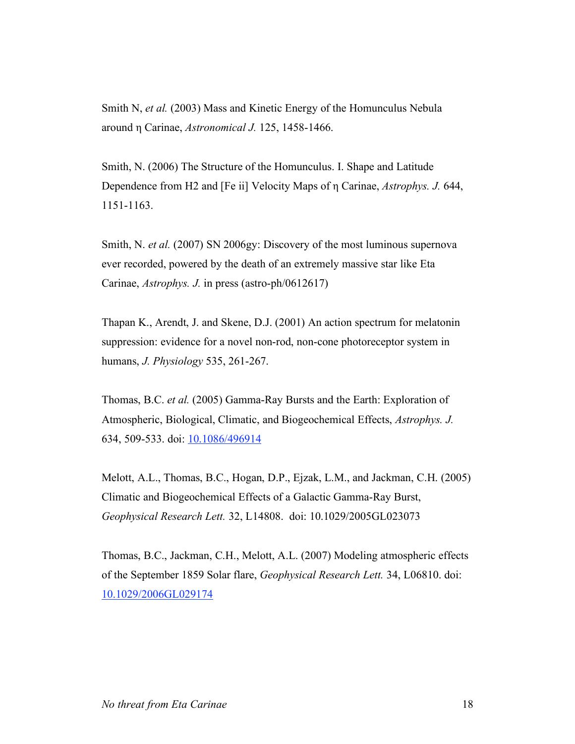Smith N, *et al.* (2003) Mass and Kinetic Energy of the Homunculus Nebula around η Carinae, *Astronomical J.* 125, 1458-1466.

Smith, N. (2006) The Structure of the Homunculus. I. Shape and Latitude Dependence from H2 and [Fe ii] Velocity Maps of η Carinae, *Astrophys. J.* 644, 1151-1163.

Smith, N. *et al.* (2007) SN 2006gy: Discovery of the most luminous supernova ever recorded, powered by the death of an extremely massive star like Eta Carinae, *Astrophys. J.* in press (astro-ph/0612617)

Thapan K., Arendt, J. and Skene, D.J. (2001) An action spectrum for melatonin suppression: evidence for a novel non-rod, non-cone photoreceptor system in humans, *J. Physiology* 535, 261-267.

Thomas, B.C. *et al.* (2005) Gamma-Ray Bursts and the Earth: Exploration of Atmospheric, Biological, Climatic, and Biogeochemical Effects, *Astrophys. J.* 634, 509-533. doi: 10.1086/496914

Melott, A.L., Thomas, B.C., Hogan, D.P., Ejzak, L.M., and Jackman, C.H. (2005) Climatic and Biogeochemical Effects of a Galactic Gamma-Ray Burst, *Geophysical Research Lett.* 32, L14808. doi: 10.1029/2005GL023073

Thomas, B.C., Jackman, C.H., Melott, A.L. (2007) Modeling atmospheric effects of the September 1859 Solar flare, *Geophysical Research Lett.* 34, L06810. doi: 10.1029/2006GL029174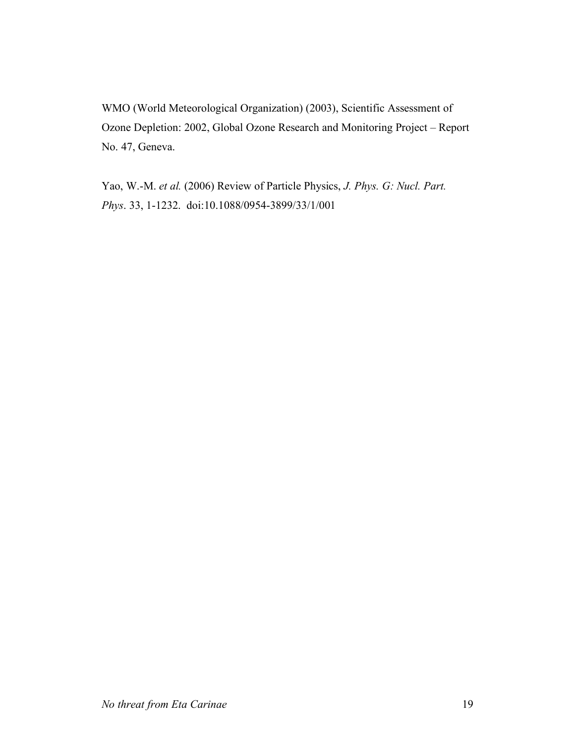WMO (World Meteorological Organization) (2003), Scientific Assessment of Ozone Depletion: 2002, Global Ozone Research and Monitoring Project – Report No. 47, Geneva.

Yao, W.-M. *et al.* (2006) Review of Particle Physics, *J. Phys. G: Nucl. Part. Phys*. 33, 1-1232. doi:10.1088/0954-3899/33/1/001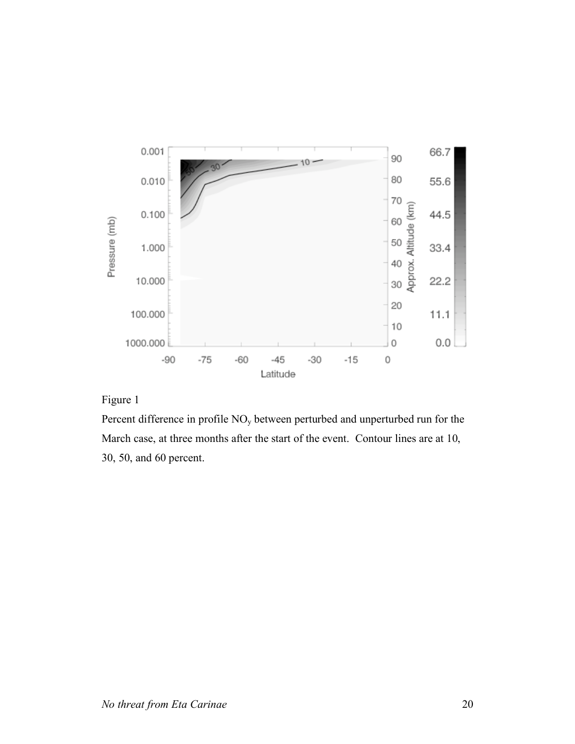

## Figure 1

Percent difference in profile NOy between perturbed and unperturbed run for the March case, at three months after the start of the event. Contour lines are at 10, 30, 50, and 60 percent.